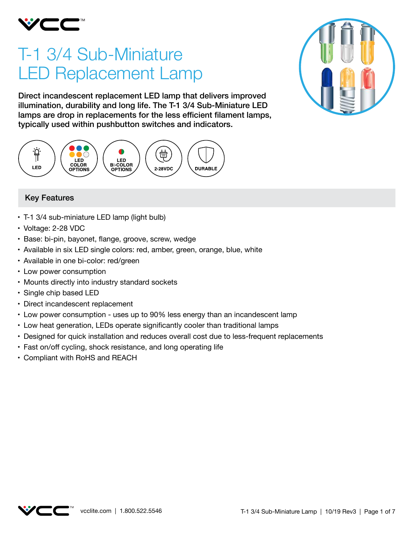

# T-1 3/4 Sub-Miniature LED Replacement Lamp

Direct incandescent replacement LED lamp that delivers improved illumination, durability and long life. The T-1 3/4 Sub-Miniature LED lamps are drop in replacements for the less efficient filament lamps, typically used within pushbutton switches and indicators.





- T-1 3/4 sub-miniature LED lamp (light bulb)
- • Voltage: 2-28 VDC
- • Base: bi-pin, bayonet, flange, groove, screw, wedge
- Available in six LED single colors: red, amber, green, orange, blue, white
- Available in one bi-color: red/green
- Low power consumption
- Mounts directly into industry standard sockets
- Single chip based LED
- Direct incandescent replacement
- Low power consumption uses up to 90% less energy than an incandescent lamp
- Low heat generation, LEDs operate significantly cooler than traditional lamps
- • Designed for quick installation and reduces overall cost due to less-frequent replacements
- Fast on/off cycling, shock resistance, and long operating life
- • Compliant with RoHS and REACH



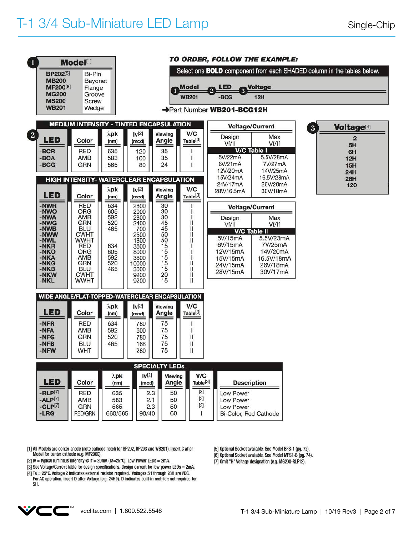| Model <sup>[1]</sup><br><b>BP202[5]</b><br>Bi-Pin<br><b>MB200</b><br>Bayonet<br>MF200[6]<br>Flange<br><b>MG200</b><br>Groove<br><b>MS200</b><br><b>Screw</b><br><b>WB201</b><br>Wedge |                                                                                                                                                                                          |                                                                                            | TO ORDER, FOLLOW THE EXAMPLE:<br>Select one <b>BOLD</b> component from each SHADED column in the tables below.<br><b>Model</b><br><b>LED</b><br>Voltage<br>$\overline{2}$<br>$\overline{\mathbf{3}}$<br><b>WB201</b><br>$-BCG$<br><b>12H</b><br>Part Number WB201-BCG12H |                                                                                                      |                                                                                |                                                                                                     |                                                                                                                                                     |              |                                                                                                |
|---------------------------------------------------------------------------------------------------------------------------------------------------------------------------------------|------------------------------------------------------------------------------------------------------------------------------------------------------------------------------------------|--------------------------------------------------------------------------------------------|--------------------------------------------------------------------------------------------------------------------------------------------------------------------------------------------------------------------------------------------------------------------------|------------------------------------------------------------------------------------------------------|--------------------------------------------------------------------------------|-----------------------------------------------------------------------------------------------------|-----------------------------------------------------------------------------------------------------------------------------------------------------|--------------|------------------------------------------------------------------------------------------------|
| $\left  \right $<br><b>LED</b><br>$-BCR$<br>$-BCA$<br>$-BCG$                                                                                                                          | <b>MEDIUM INTENSITY - TINTED ENCAPSULATION</b><br>Color<br>RED<br>AMB<br><b>GRN</b><br>HIGH INTENSITY- WATERCLEAR ENCAPSULATION                                                          | $\lambda$ pk<br>(nm)<br>635<br>583<br>565                                                  | $ v^{[2]} $<br>(mcd)<br>120<br>100<br>80                                                                                                                                                                                                                                 | Viewing<br>Angle<br>35<br>35<br>24                                                                   | V/C<br>Table <sup>[3]</sup>                                                    | Design<br>Vf/lf<br>5V/22mA<br>6V/21mA<br>12V/20mA<br>15V/24mA<br>24V/17mA                           | <b>Voltage/Current</b><br>Max<br>Vf/If<br>V/C Table I<br>5.5V/28mA<br>7V/27mA<br>14V/25mA<br>16.5V/28mA<br>26V/20mA                                 | $\mathbf{3}$ | <b>Voltage</b> <sup>[4]</sup><br>$\overline{2}$<br>5H<br>6H<br>12H<br><b>15H</b><br>24H<br>28H |
| <b>LED</b><br>-NWR<br>-NWO<br>-NWA<br>-NWG<br>-NWB<br>-NWW<br>-NWL<br>$-NKR$<br>$-NKO$<br>-NKA<br>$-NKG$<br>-NKB<br>-NKW<br>-NKL                                                      | Color<br><b>RED</b><br><b>ORG</b><br>AMB<br><b>GRN</b><br><b>BLU</b><br><b>CWHT</b><br><b>WWHT</b><br>RED<br><b>ORG</b><br><b>AMB</b><br>GRN<br><b>BLU</b><br><b>CWHT</b><br><b>WWHT</b> | $\lambda$ pk<br>(nm)<br>634<br>605<br>592<br>520<br>465<br>634<br>605<br>592<br>520<br>465 | $ v^{[2]} $<br>(mod)<br>2800<br>2000<br>2800<br>2400<br>700<br>2500<br>1800<br>3600<br>8000<br>3600<br>10000<br>3000<br>9200<br>9200                                                                                                                                     | Viewing<br>Angle<br>30<br>30<br>30<br>45<br>45<br>50<br>50<br>15<br>15<br>15<br>15<br>15<br>20<br>15 | V/C<br>Table <sup>[3]</sup><br>Ш<br>Ш<br>$\mathbf{I}$<br>Ш<br>Ш<br>Ш<br>Ш<br>Ш | 28V/16.5mA<br>Design<br>Vf/If<br>5V/15mA<br>6V/15mA<br>12V/15mA<br>15V/15mA<br>24V/15mA<br>28V/15mA | 30V/18mA<br><b>Voltage/Current</b><br>Max<br>Vf/If<br><b>V/C Table II</b><br>5.5V/23mA<br>7V/25mA<br>14V/20mA<br>16.5V/18mA<br>26V/18mA<br>30V/17mA |              | 120                                                                                            |
| <b>LED</b><br>$-NFR$<br>-NFA<br>$-NFG$<br>-NFB<br>-NFW                                                                                                                                | WIDE ANGLE/FLAT-TOPPED-WATERCLEAR ENCAPSULATION<br>Color<br><b>RED</b><br>AMB<br><b>GRN</b><br><b>BLU</b><br><b>WHT</b>                                                                  | $\lambda$ pk<br>(nm)<br>634<br>592<br>520<br>465                                           | $ v^{[2]} $<br>(mcd)<br>780<br>600<br>780<br>168<br>280                                                                                                                                                                                                                  | Viewing<br>Angle<br>75<br>75<br>75<br>75<br>75<br><b>SPECIALTY LEDS</b>                              | V/C<br>Table <sup>[3]</sup><br>Ш<br>$\mathbf{I}$<br>Ш                          |                                                                                                     |                                                                                                                                                     |              |                                                                                                |
| <b>LED</b><br>$-RLP[7]$<br>$-ALP[7]$<br>$-GLP[7]$<br>$-LRG$                                                                                                                           | Color<br><b>RED</b><br>AMB<br><b>GRN</b><br><b>RED/GRN</b>                                                                                                                               | $\lambda$ pk<br>(nm)<br>635<br>583<br>565<br>660/565                                       | $ v^{[2]} $<br>(mcd)<br>2.3<br>2.1<br>2.3<br>90/40                                                                                                                                                                                                                       | Viewing<br>Angle<br>50<br>50<br>50<br>60                                                             | V/C<br>Table <sup>[3]</sup><br>$[3]$<br>$[3]$<br>$[3]$<br>L                    | <b>Description</b><br>Low Power<br>Low Power<br>Low Power<br>Bi-Color, Red Cathode                  |                                                                                                                                                     |              |                                                                                                |

[1] All Models are center anode (note cathode notch for BP202, BP203 and WB201). Insert C after Model for center cathode (e.g. MF200C).

[2] Iv = typical luminous intensity @ If = 20mA (Ta=25°C). Low Power LEDs = 2mA.

[3] See Voltage/Current table for design specifications. Design current for low power LEDs = 2mA.

[4] Ta = 25°C. Voltage 2 indicates external resistor required. Voltages 5H through 28H are VDC.<br>For AC operation, insert D after Voltage (e.g. 24HD). D indicates built-in rectifier: not required for<br>5H.



[5] Optional Socket available. See Model BPS-1 (pg. 72).

[6] Optional Socket available. See Model MFS1-B (pg. 74).

[7] Omit "H" Voltage designation (e.g. MG200-RLP12).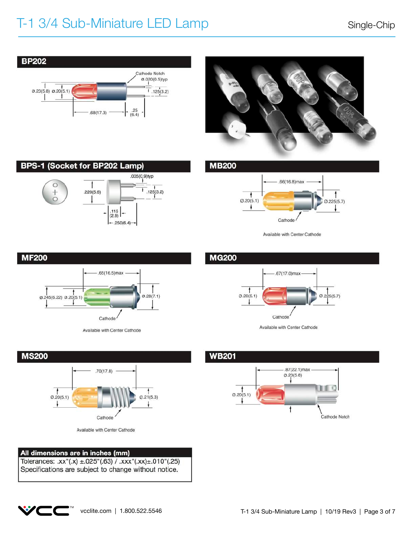## T-1 3/4 Sub-Miniature LED Lamp Single-Chip





**BPS-1 (Socket for BP202 Lamp)** .035(0,9)typ Î O  $125(3.2)$  $.220(5.6)$  $\begin{array}{c|c} .115 \\ (2.9) \end{array}$  -

 $-.250(6.4)$ 

**MB200** 



Available with Center Cathode



Available with Center Cathode



Available with Center Cathode

### All dimensions are in inches (mm)

Tolerances: .xx"(.x) ±.025"(.63) / .xxx"(.xx)±.010"(.25) Specifications are subject to change without notice.

### **MG200**



Available with Center Cathode

### **WB201**



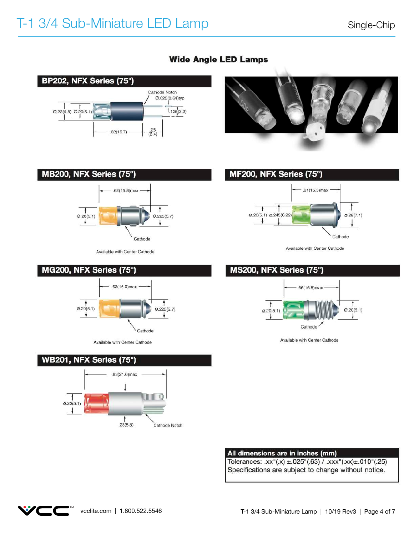

## **Wide Angle LED Lamps**









Available with Center Cathode

### All dimensions are in inches (mm)

Tolerances: .xx"(.x) ±.025"(.63) / .xxx"(.xx)±.010"(.25) Specifications are subject to change without notice.



Available with Center Cathode







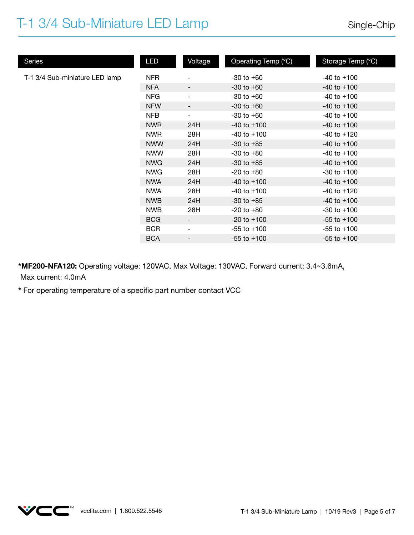## T-1 3/4 Sub-Miniature LED Lamp

| Series                         | <b>LED</b> | Voltage                  | Operating Temp (°C) | Storage Temp (°C) |
|--------------------------------|------------|--------------------------|---------------------|-------------------|
| T-1 3/4 Sub-miniature LED lamp | <b>NFR</b> | $\overline{a}$           | $-30$ to $+60$      | $-40$ to $+100$   |
|                                | <b>NFA</b> | $\overline{\phantom{a}}$ | $-30$ to $+60$      | $-40$ to $+100$   |
|                                | <b>NFG</b> | $\overline{\phantom{a}}$ | $-30$ to $+60$      | $-40$ to $+100$   |
|                                | <b>NFW</b> | -                        | $-30$ to $+60$      | $-40$ to $+100$   |
|                                | <b>NFB</b> | $\overline{\phantom{a}}$ | $-30$ to $+60$      | $-40$ to $+100$   |
|                                | <b>NWR</b> | 24H                      | $-40$ to $+100$     | $-40$ to $+100$   |
|                                | <b>NWR</b> | 28H                      | $-40$ to $+100$     | $-40$ to $+120$   |
|                                | <b>NWW</b> | 24H                      | $-30$ to $+85$      | $-40$ to $+100$   |
|                                | <b>NWW</b> | 28H                      | $-30$ to $+80$      | $-40$ to $+100$   |
|                                | <b>NWG</b> | 24H                      | $-30$ to $+85$      | $-40$ to $+100$   |
|                                | <b>NWG</b> | 28H                      | $-20$ to $+80$      | $-30$ to $+100$   |
|                                | <b>NWA</b> | 24H                      | $-40$ to $+100$     | $-40$ to $+100$   |
|                                | <b>NWA</b> | 28H                      | $-40$ to $+100$     | $-40$ to $+120$   |
|                                | <b>NWB</b> | 24H                      | $-30$ to $+85$      | $-40$ to $+100$   |
|                                | <b>NWB</b> | 28H                      | $-20$ to $+80$      | $-30$ to $+100$   |
|                                | <b>BCG</b> | -                        | $-20$ to $+100$     | $-55$ to $+100$   |
|                                | <b>BCR</b> | $\overline{\phantom{a}}$ | $-55$ to $+100$     | $-55$ to $+100$   |
|                                | <b>BCA</b> | $\overline{\phantom{a}}$ | $-55$ to $+100$     | $-55$ to $+100$   |

**\*MF200-NFA120:** Operating voltage: 120VAC, Max Voltage: 130VAC, Forward current: 3.4~3.6mA, Max current: 4.0mA

**\*** For operating temperature of a specific part number contact VCC

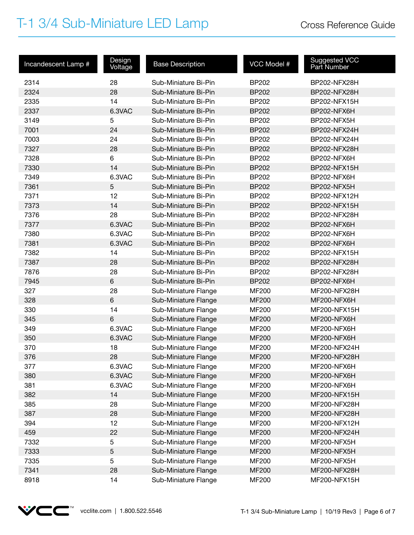## T-1 3/4 Sub-Miniature LED Lamp Cross Reference Guide

| Incandescent Lamp # | Design<br>Voltage | <b>Base Description</b> | VCC Model #  | Suggested VCC<br>Part Number |
|---------------------|-------------------|-------------------------|--------------|------------------------------|
| 2314                | 28                | Sub-Miniature Bi-Pin    | <b>BP202</b> | BP202-NFX28H                 |
| 2324                | 28                | Sub-Miniature Bi-Pin    | <b>BP202</b> | BP202-NFX28H                 |
| 2335                | 14                | Sub-Miniature Bi-Pin    | <b>BP202</b> | BP202-NFX15H                 |
| 2337                | 6.3VAC            | Sub-Miniature Bi-Pin    | <b>BP202</b> | BP202-NFX6H                  |
| 3149                | 5                 | Sub-Miniature Bi-Pin    | <b>BP202</b> | BP202-NFX5H                  |
| 7001                | 24                | Sub-Miniature Bi-Pin    | <b>BP202</b> | BP202-NFX24H                 |
| 7003                | 24                | Sub-Miniature Bi-Pin    | <b>BP202</b> | BP202-NFX24H                 |
| 7327                | 28                | Sub-Miniature Bi-Pin    | <b>BP202</b> | BP202-NFX28H                 |
| 7328                | 6                 | Sub-Miniature Bi-Pin    | <b>BP202</b> | BP202-NFX6H                  |
| 7330                | 14                | Sub-Miniature Bi-Pin    | <b>BP202</b> | BP202-NFX15H                 |
| 7349                | 6.3VAC            | Sub-Miniature Bi-Pin    | BP202        | BP202-NFX6H                  |
| 7361                | 5                 | Sub-Miniature Bi-Pin    | <b>BP202</b> | BP202-NFX5H                  |
| 7371                | 12                | Sub-Miniature Bi-Pin    | <b>BP202</b> | BP202-NFX12H                 |
| 7373                | 14                | Sub-Miniature Bi-Pin    | <b>BP202</b> | BP202-NFX15H                 |
| 7376                | 28                | Sub-Miniature Bi-Pin    | <b>BP202</b> | BP202-NFX28H                 |
| 7377                | 6.3VAC            | Sub-Miniature Bi-Pin    | <b>BP202</b> | BP202-NFX6H                  |
| 7380                | 6.3VAC            | Sub-Miniature Bi-Pin    | BP202        | BP202-NFX6H                  |
| 7381                | 6.3VAC            | Sub-Miniature Bi-Pin    | <b>BP202</b> | BP202-NFX6H                  |
| 7382                | 14                | Sub-Miniature Bi-Pin    | <b>BP202</b> | BP202-NFX15H                 |
| 7387                | 28                | Sub-Miniature Bi-Pin    | <b>BP202</b> | BP202-NFX28H                 |
| 7876                | 28                | Sub-Miniature Bi-Pin    | <b>BP202</b> | BP202-NFX28H                 |
| 7945                | $\,6\,$           | Sub-Miniature Bi-Pin    | <b>BP202</b> | BP202-NFX6H                  |
| 327                 | 28                | Sub-Miniature Flange    | MF200        | MF200-NFX28H                 |
| 328                 | $6\phantom{1}$    | Sub-Miniature Flange    | <b>MF200</b> | MF200-NFX6H                  |
| 330                 | 14                | Sub-Miniature Flange    | <b>MF200</b> | MF200-NFX15H                 |
| 345                 | $\,6\,$           | Sub-Miniature Flange    | <b>MF200</b> | MF200-NFX6H                  |
| 349                 | 6.3VAC            | Sub-Miniature Flange    | <b>MF200</b> | MF200-NFX6H                  |
| 350                 | 6.3VAC            | Sub-Miniature Flange    | <b>MF200</b> | MF200-NFX6H                  |
| 370                 | 18                | Sub-Miniature Flange    | <b>MF200</b> | MF200-NFX24H                 |
| 376                 | 28                | Sub-Miniature Flange    | <b>MF200</b> | MF200-NFX28H                 |
| 377                 | 6.3VAC            | Sub-Miniature Flange    | <b>MF200</b> | MF200-NFX6H                  |
| 380                 | 6.3VAC            | Sub-Miniature Flange    | <b>MF200</b> | MF200-NFX6H                  |
| 381                 | 6.3VAC            | Sub-Miniature Flange    | <b>MF200</b> | MF200-NFX6H                  |
| 382                 | 14                | Sub-Miniature Flange    | <b>MF200</b> | MF200-NFX15H                 |
| 385                 | 28                | Sub-Miniature Flange    | <b>MF200</b> | MF200-NFX28H                 |
| 387                 | 28                | Sub-Miniature Flange    | <b>MF200</b> | MF200-NFX28H                 |
| 394                 | 12                | Sub-Miniature Flange    | <b>MF200</b> | MF200-NFX12H                 |
| 459                 | 22                | Sub-Miniature Flange    | <b>MF200</b> | MF200-NFX24H                 |
| 7332                | 5                 | Sub-Miniature Flange    | <b>MF200</b> | MF200-NFX5H                  |
| 7333                | 5                 | Sub-Miniature Flange    | <b>MF200</b> | MF200-NFX5H                  |
| 7335                | 5                 | Sub-Miniature Flange    | <b>MF200</b> | MF200-NFX5H                  |
| 7341                | 28                | Sub-Miniature Flange    | <b>MF200</b> | MF200-NFX28H                 |
| 8918                | 14                | Sub-Miniature Flange    | <b>MF200</b> | MF200-NFX15H                 |